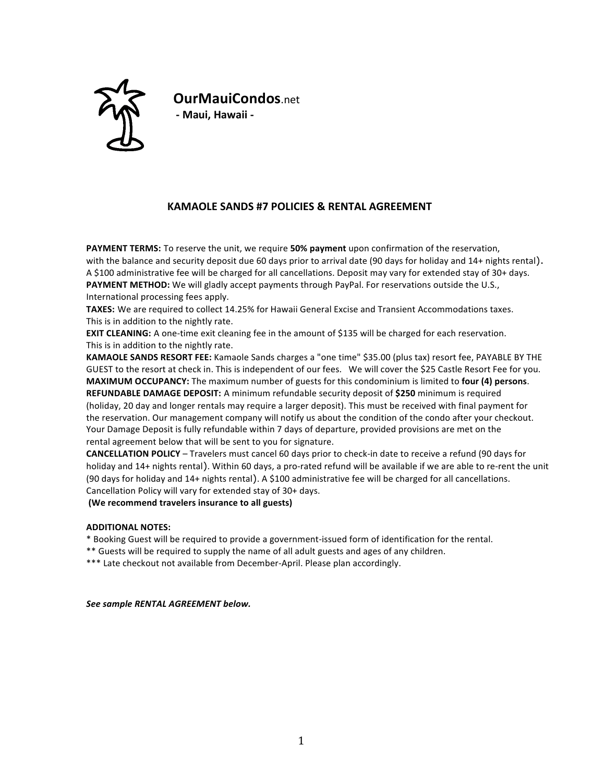

**OurMauiCondos**.net **- Maui, Hawaii -**

## **KAMAOLE SANDS #7 POLICIES & RENTAL AGREEMENT**

**PAYMENT TERMS:** To reserve the unit, we require 50% payment upon confirmation of the reservation, with the balance and security deposit due 60 days prior to arrival date (90 days for holiday and 14+ nights rental). A \$100 administrative fee will be charged for all cancellations. Deposit may vary for extended stay of 30+ days. **PAYMENT METHOD:** We will gladly accept payments through PayPal. For reservations outside the U.S., International processing fees apply.

TAXES: We are required to collect 14.25% for Hawaii General Excise and Transient Accommodations taxes. This is in addition to the nightly rate.

**EXIT CLEANING:** A one-time exit cleaning fee in the amount of \$135 will be charged for each reservation. This is in addition to the nightly rate.

KAMAOLE SANDS RESORT FEE: Kamaole Sands charges a "one time" \$35.00 (plus tax) resort fee, PAYABLE BY THE GUEST to the resort at check in. This is independent of our fees. We will cover the \$25 Castle Resort Fee for you. **MAXIMUM OCCUPANCY:** The maximum number of guests for this condominium is limited to four (4) persons. **REFUNDABLE DAMAGE DEPOSIT:** A minimum refundable security deposit of \$250 minimum is required (holiday, 20 day and longer rentals may require a larger deposit). This must be received with final payment for the reservation. Our management company will notify us about the condition of the condo after your checkout. Your Damage Deposit is fully refundable within 7 days of departure, provided provisions are met on the rental agreement below that will be sent to you for signature.

**CANCELLATION POLICY** – Travelers must cancel 60 days prior to check-in date to receive a refund (90 days for holiday and 14+ nights rental). Within 60 days, a pro-rated refund will be available if we are able to re-rent the unit (90 days for holiday and 14+ nights rental). A \$100 administrative fee will be charged for all cancellations. Cancellation Policy will vary for extended stay of 30+ days.

(We recommend travelers insurance to all guests)

## **ADDITIONAL NOTES:**

\* Booking Guest will be required to provide a government-issued form of identification for the rental.

\*\* Guests will be required to supply the name of all adult guests and ages of any children.

\*\*\* Late checkout not available from December-April. Please plan accordingly.

*See sample RENTAL AGREEMENT below.*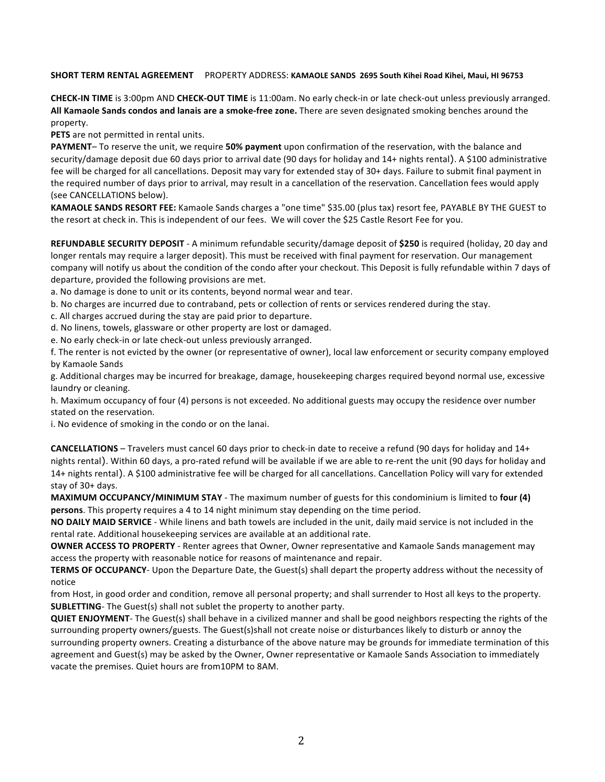## SHORT TERM RENTAL AGREEMENT PROPERTY ADDRESS: KAMAOLE SANDS 2695 South Kihei Road Kihei, Maui, HI 96753

**CHECK-IN TIME** is 3:00pm AND **CHECK-OUT TIME** is 11:00am. No early check-in or late check-out unless previously arranged. All Kamaole Sands condos and lanais are a smoke-free zone. There are seven designated smoking benches around the property.

**PETS** are not permitted in rental units.

PAYMENT- To reserve the unit, we require 50% payment upon confirmation of the reservation, with the balance and security/damage deposit due 60 days prior to arrival date (90 days for holiday and 14+ nights rental). A \$100 administrative fee will be charged for all cancellations. Deposit may vary for extended stay of 30+ days. Failure to submit final payment in the required number of days prior to arrival, may result in a cancellation of the reservation. Cancellation fees would apply (see CANCELLATIONS below).

KAMAOLE SANDS RESORT FEE: Kamaole Sands charges a "one time" \$35.00 (plus tax) resort fee, PAYABLE BY THE GUEST to the resort at check in. This is independent of our fees. We will cover the \$25 Castle Resort Fee for you.

REFUNDABLE SECURITY DEPOSIT - A minimum refundable security/damage deposit of \$250 is required (holiday, 20 day and longer rentals may require a larger deposit). This must be received with final payment for reservation. Our management company will notify us about the condition of the condo after your checkout. This Deposit is fully refundable within 7 days of departure, provided the following provisions are met.

a. No damage is done to unit or its contents, beyond normal wear and tear.

b. No charges are incurred due to contraband, pets or collection of rents or services rendered during the stay.

c. All charges accrued during the stay are paid prior to departure.

d. No linens, towels, glassware or other property are lost or damaged.

e. No early check-in or late check-out unless previously arranged.

f. The renter is not evicted by the owner (or representative of owner), local law enforcement or security company employed by Kamaole Sands

g. Additional charges may be incurred for breakage, damage, housekeeping charges required beyond normal use, excessive laundry or cleaning.

h. Maximum occupancy of four (4) persons is not exceeded. No additional guests may occupy the residence over number stated on the reservation.

i. No evidence of smoking in the condo or on the lanai.

**CANCELLATIONS** – Travelers must cancel 60 days prior to check-in date to receive a refund (90 days for holiday and 14+ nights rental). Within 60 days, a pro-rated refund will be available if we are able to re-rent the unit (90 days for holiday and 14+ nights rental). A \$100 administrative fee will be charged for all cancellations. Cancellation Policy will vary for extended stay of 30+ days.

**MAXIMUM OCCUPANCY/MINIMUM STAY** - The maximum number of guests for this condominium is limited to four (4) **persons**. This property requires a 4 to 14 night minimum stay depending on the time period.

**NO DAILY MAID SERVICE** - While linens and bath towels are included in the unit, daily maid service is not included in the rental rate. Additional housekeeping services are available at an additional rate.

**OWNER ACCESS TO PROPERTY** - Renter agrees that Owner, Owner representative and Kamaole Sands management may access the property with reasonable notice for reasons of maintenance and repair.

**TERMS OF OCCUPANCY**- Upon the Departure Date, the Guest(s) shall depart the property address without the necessity of notice 

from Host, in good order and condition, remove all personal property; and shall surrender to Host all keys to the property. **SUBLETTING**- The Guest(s) shall not sublet the property to another party.

**QUIET ENJOYMENT**- The Guest(s) shall behave in a civilized manner and shall be good neighbors respecting the rights of the surrounding property owners/guests. The Guest(s)shall not create noise or disturbances likely to disturb or annoy the surrounding property owners. Creating a disturbance of the above nature may be grounds for immediate termination of this agreement and Guest(s) may be asked by the Owner, Owner representative or Kamaole Sands Association to immediately vacate the premises. Quiet hours are from10PM to 8AM.